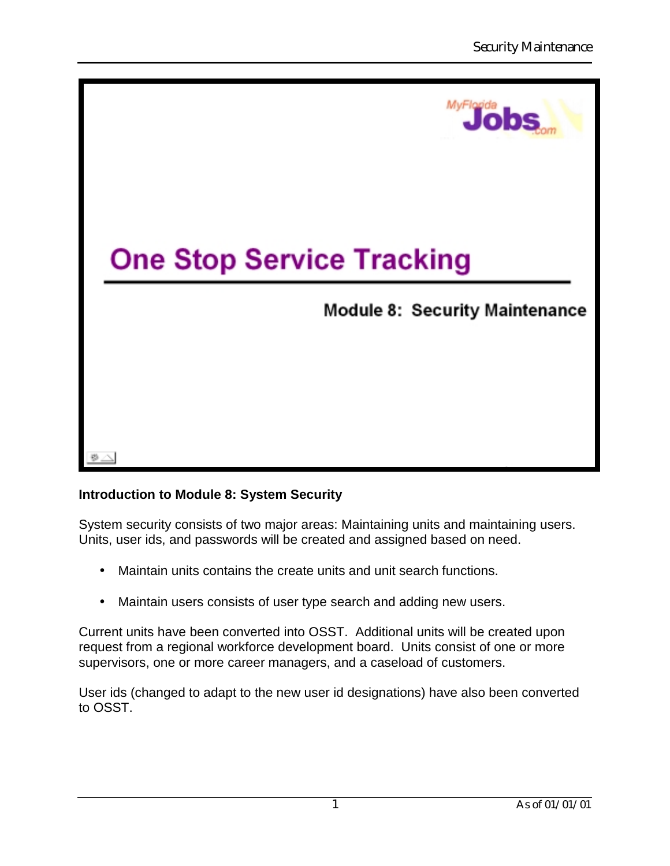

# **Introduction to Module 8: System Security**

System security consists of two major areas: Maintaining units and maintaining users. Units, user ids, and passwords will be created and assigned based on need.

- Maintain units contains the create units and unit search functions.
- Maintain users consists of user type search and adding new users.

Current units have been converted into OSST. Additional units will be created upon request from a regional workforce development board. Units consist of one or more supervisors, one or more career managers, and a caseload of customers.

User ids (changed to adapt to the new user id designations) have also been converted to OSST.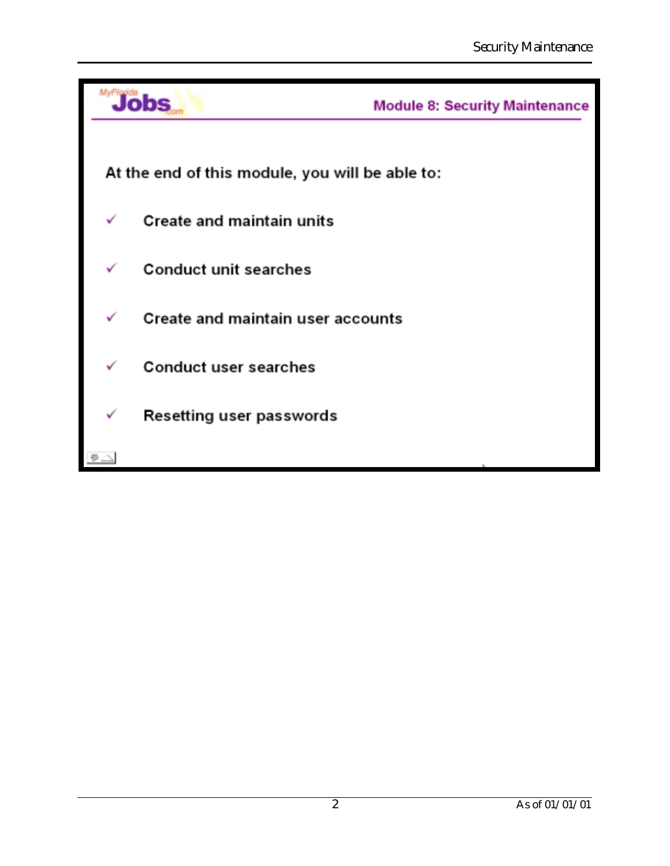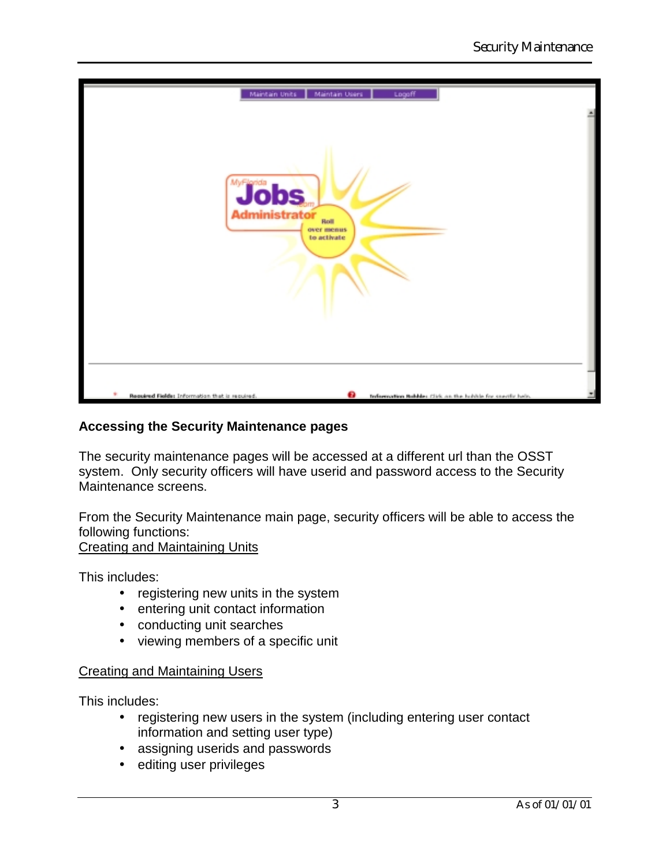

## **Accessing the Security Maintenance pages**

The security maintenance pages will be accessed at a different url than the OSST system. Only security officers will have userid and password access to the Security Maintenance screens.

From the Security Maintenance main page, security officers will be able to access the following functions:

Creating and Maintaining Units

This includes:

- registering new units in the system
- entering unit contact information
- conducting unit searches
- viewing members of a specific unit

#### Creating and Maintaining Users

This includes:

- registering new users in the system (including entering user contact information and setting user type)
- assigning userids and passwords
- editing user privileges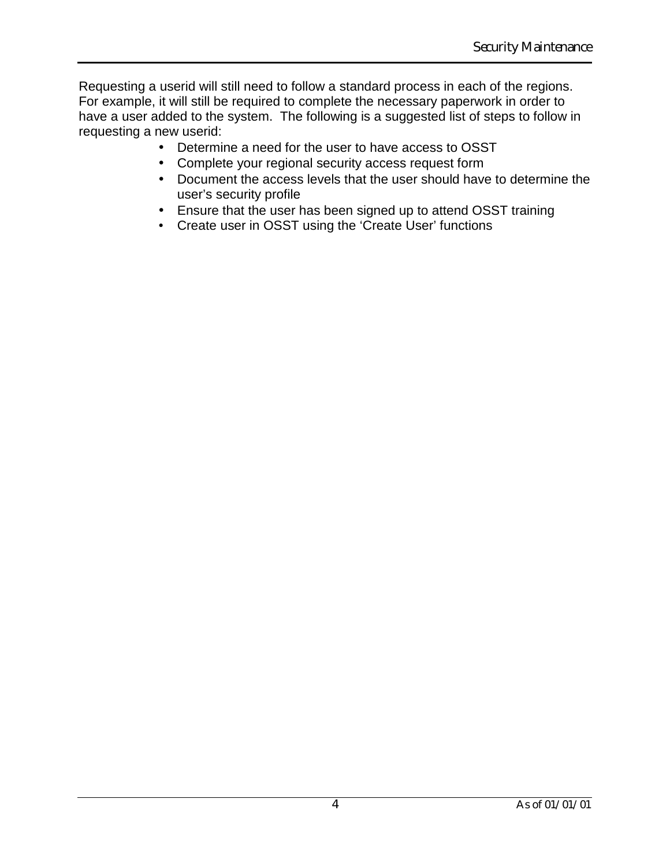Requesting a userid will still need to follow a standard process in each of the regions. For example, it will still be required to complete the necessary paperwork in order to have a user added to the system. The following is a suggested list of steps to follow in requesting a new userid:

- Determine a need for the user to have access to OSST
- Complete your regional security access request form
- Document the access levels that the user should have to determine the user's security profile
- Ensure that the user has been signed up to attend OSST training
- Create user in OSST using the 'Create User' functions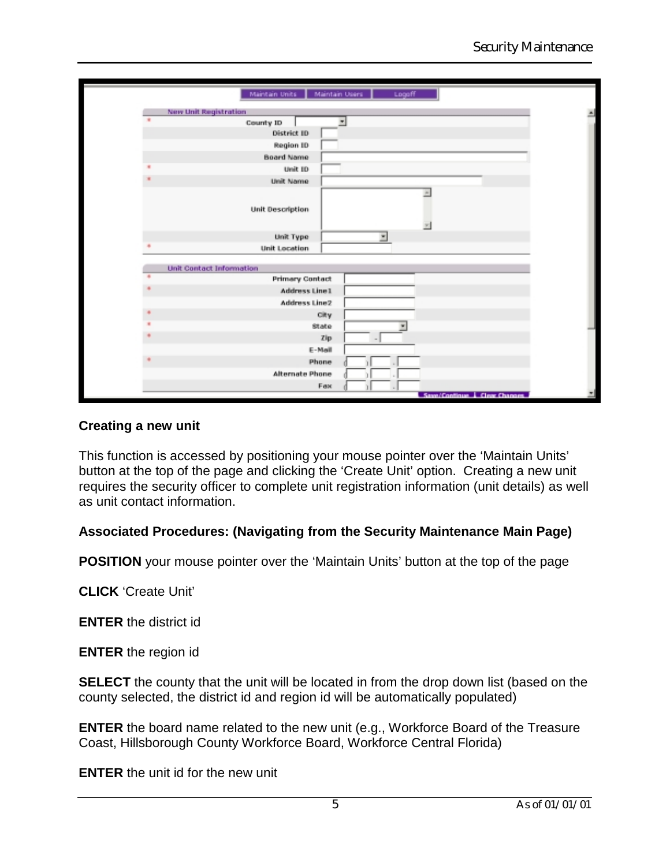|                                 | Maintain Units   Maintain Users   | Logoff                        |  |
|---------------------------------|-----------------------------------|-------------------------------|--|
| <b>New Unit Registration</b>    |                                   |                               |  |
|                                 | County ID                         |                               |  |
|                                 | District ID                       |                               |  |
|                                 | <b>Region ID</b>                  |                               |  |
|                                 | <b>Board Name</b>                 |                               |  |
|                                 | Unit ID                           |                               |  |
|                                 | Unit Name                         |                               |  |
|                                 | Unit Description                  | ×                             |  |
|                                 |                                   |                               |  |
|                                 | Unit Type<br><b>Unit Location</b> | ×                             |  |
|                                 |                                   |                               |  |
| <b>Unit Contact Information</b> |                                   |                               |  |
|                                 | <b>Primary Contact</b>            |                               |  |
|                                 | <b>Address Line1</b>              |                               |  |
|                                 | Address Line2                     |                               |  |
|                                 | City                              |                               |  |
|                                 | State                             | ٠                             |  |
|                                 |                                   | zip<br>$-1$                   |  |
|                                 | E-Mail                            |                               |  |
|                                 | Phone                             |                               |  |
|                                 | Alternate Phone                   |                               |  |
|                                 | Fax                               |                               |  |
|                                 |                                   | Save/Continue   Clear Changes |  |

## **Creating a new unit**

This function is accessed by positioning your mouse pointer over the 'Maintain Units' button at the top of the page and clicking the 'Create Unit' option. Creating a new unit requires the security officer to complete unit registration information (unit details) as well as unit contact information.

## **Associated Procedures: (Navigating from the Security Maintenance Main Page)**

**POSITION** your mouse pointer over the 'Maintain Units' button at the top of the page

**CLICK** 'Create Unit'

**ENTER** the district id

**ENTER** the region id

**SELECT** the county that the unit will be located in from the drop down list (based on the county selected, the district id and region id will be automatically populated)

**ENTER** the board name related to the new unit (e.g., Workforce Board of the Treasure Coast, Hillsborough County Workforce Board, Workforce Central Florida)

**ENTER** the unit id for the new unit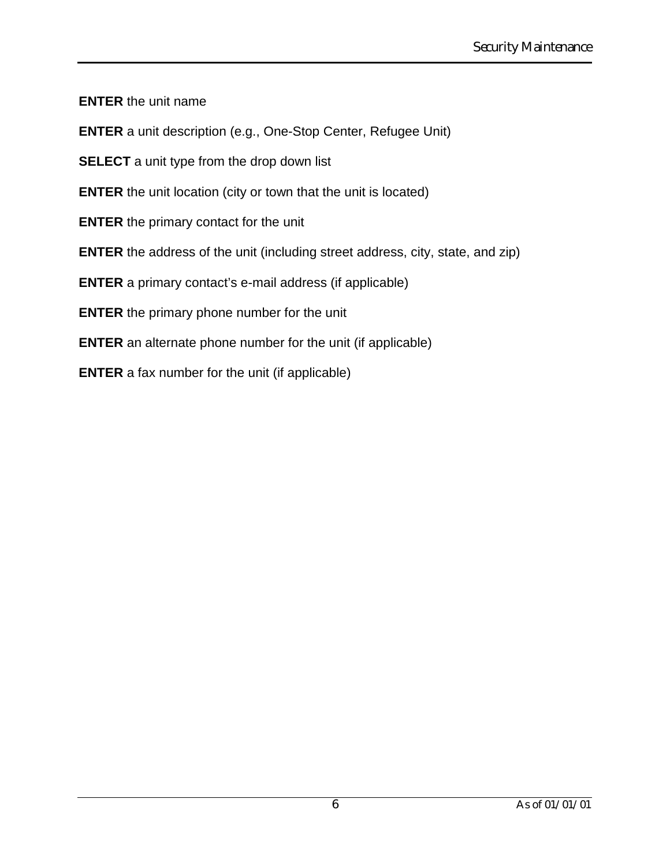**ENTER** the unit name

**ENTER** a unit description (e.g., One-Stop Center, Refugee Unit)

**SELECT** a unit type from the drop down list

**ENTER** the unit location (city or town that the unit is located)

**ENTER** the primary contact for the unit

**ENTER** the address of the unit (including street address, city, state, and zip)

**ENTER** a primary contact's e-mail address (if applicable)

**ENTER** the primary phone number for the unit

**ENTER** an alternate phone number for the unit (if applicable)

**ENTER** a fax number for the unit (if applicable)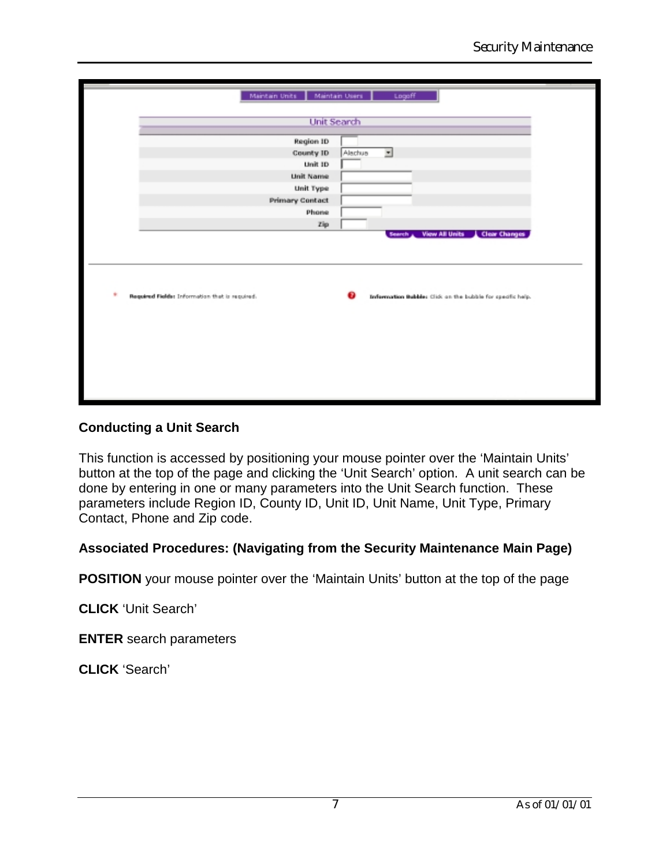| Maintain Units                                 | Maintain Osers         |         | Logaff |                                                            |  |
|------------------------------------------------|------------------------|---------|--------|------------------------------------------------------------|--|
|                                                | <b>Unit Search</b>     |         |        |                                                            |  |
|                                                | Region ID              |         |        |                                                            |  |
|                                                | County ID              | Alachua | ≖      |                                                            |  |
|                                                | Unit ID                |         |        |                                                            |  |
|                                                | <b>Unit Name</b>       |         |        |                                                            |  |
|                                                | <b>Unit Type</b>       |         |        |                                                            |  |
|                                                | <b>Primary Contact</b> |         |        |                                                            |  |
|                                                | Phone                  |         |        |                                                            |  |
|                                                | Zip                    |         |        | Search View All Units   Clear Changes                      |  |
| Required Fields: Information that is required. |                        |         |        | Information Bubbles Click on the bubble for specific help. |  |
|                                                |                        |         |        |                                                            |  |
|                                                |                        |         |        |                                                            |  |
|                                                |                        |         |        |                                                            |  |
|                                                |                        |         |        |                                                            |  |
|                                                |                        |         |        |                                                            |  |
|                                                |                        |         |        |                                                            |  |

## **Conducting a Unit Search**

This function is accessed by positioning your mouse pointer over the 'Maintain Units' button at the top of the page and clicking the 'Unit Search' option. A unit search can be done by entering in one or many parameters into the Unit Search function. These parameters include Region ID, County ID, Unit ID, Unit Name, Unit Type, Primary Contact, Phone and Zip code.

## **Associated Procedures: (Navigating from the Security Maintenance Main Page)**

**POSITION** your mouse pointer over the 'Maintain Units' button at the top of the page

**CLICK** 'Unit Search'

**ENTER** search parameters

**CLICK** 'Search'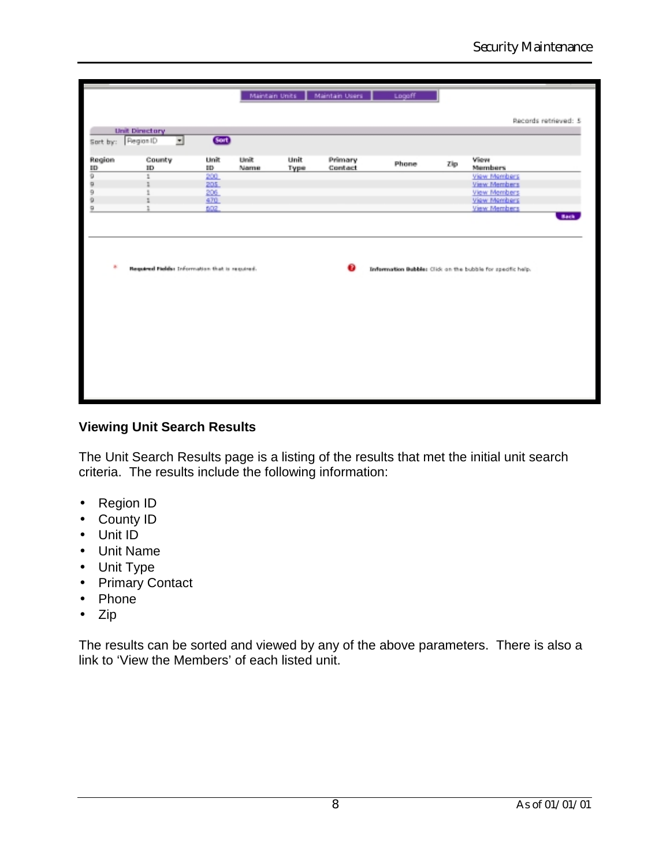|              |                                                |            |              |              | Maintain Units   Maintain Users | Logaff |     |                                                            |
|--------------|------------------------------------------------|------------|--------------|--------------|---------------------------------|--------|-----|------------------------------------------------------------|
|              |                                                |            |              |              |                                 |        |     |                                                            |
|              | <b>Unit Directory</b>                          |            |              |              |                                 |        |     | Records retrieved: 5                                       |
| Sort by:     | ⊡<br>Piegian ID                                | Gort       |              |              |                                 |        |     |                                                            |
|              |                                                |            |              |              |                                 |        |     |                                                            |
| Region<br>ID | County<br>$_{\rm ID}$                          | Unit<br>m  | Unit<br>Name | Unit<br>Түрө | Primary<br>Contact              | Phone  | Zip | View<br>Members                                            |
| 9            | 1                                              | 200        |              |              |                                 |        |     | View Members                                               |
| 9            |                                                | 205        |              |              |                                 |        |     | View Members                                               |
| 9            |                                                | 206        |              |              |                                 |        |     | View Members                                               |
| 9<br>9       |                                                | 470<br>602 |              |              |                                 |        |     | View Members<br>View Members                               |
|              |                                                |            |              |              |                                 |        |     | <b>Back</b>                                                |
|              |                                                |            |              |              |                                 |        |     |                                                            |
|              |                                                |            |              |              |                                 |        |     |                                                            |
|              |                                                |            |              |              |                                 |        |     |                                                            |
|              |                                                |            |              |              |                                 |        |     |                                                            |
| A.           | Required Fields: Information that is required. |            |              |              |                                 |        |     | Information Bubbles Click on the bubble for specific help. |
|              |                                                |            |              |              |                                 |        |     |                                                            |
|              |                                                |            |              |              |                                 |        |     |                                                            |
|              |                                                |            |              |              |                                 |        |     |                                                            |
|              |                                                |            |              |              |                                 |        |     |                                                            |
|              |                                                |            |              |              |                                 |        |     |                                                            |
|              |                                                |            |              |              |                                 |        |     |                                                            |
|              |                                                |            |              |              |                                 |        |     |                                                            |
|              |                                                |            |              |              |                                 |        |     |                                                            |
|              |                                                |            |              |              |                                 |        |     |                                                            |
|              |                                                |            |              |              |                                 |        |     |                                                            |
|              |                                                |            |              |              |                                 |        |     |                                                            |
|              |                                                |            |              |              |                                 |        |     |                                                            |
|              |                                                |            |              |              |                                 |        |     |                                                            |

## **Viewing Unit Search Results**

The Unit Search Results page is a listing of the results that met the initial unit search criteria. The results include the following information:

- Region ID
- County ID
- Unit ID
- Unit Name
- Unit Type
- Primary Contact
- Phone
- Zip

The results can be sorted and viewed by any of the above parameters. There is also a link to 'View the Members' of each listed unit.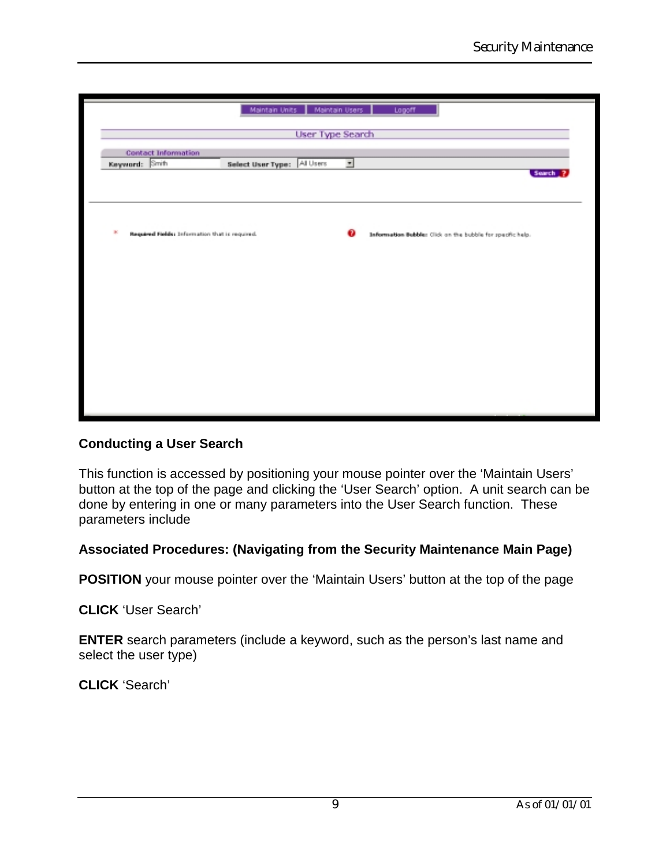|                |                                                |                   |           |                          | Maintain Units   Maintain Users   Logoff                   |  |
|----------------|------------------------------------------------|-------------------|-----------|--------------------------|------------------------------------------------------------|--|
|                | User Type Search                               |                   |           |                          |                                                            |  |
|                |                                                |                   |           |                          |                                                            |  |
| Keyword: Smith | <b>Contact Information</b>                     | Select User Type: | All Users | $\overline{\phantom{a}}$ |                                                            |  |
|                |                                                |                   |           |                          | Search                                                     |  |
|                |                                                |                   |           |                          |                                                            |  |
|                |                                                |                   |           |                          |                                                            |  |
|                |                                                |                   |           |                          |                                                            |  |
|                |                                                |                   |           |                          |                                                            |  |
| ж              | Required Fields: Information that is required. |                   |           | $\bullet$                | Information Bubble: Click on the bubble for specific help. |  |
|                |                                                |                   |           |                          |                                                            |  |
|                |                                                |                   |           |                          |                                                            |  |
|                |                                                |                   |           |                          |                                                            |  |
|                |                                                |                   |           |                          |                                                            |  |
|                |                                                |                   |           |                          |                                                            |  |
|                |                                                |                   |           |                          |                                                            |  |
|                |                                                |                   |           |                          |                                                            |  |
|                |                                                |                   |           |                          |                                                            |  |
|                |                                                |                   |           |                          |                                                            |  |
|                |                                                |                   |           |                          |                                                            |  |
|                |                                                |                   |           |                          |                                                            |  |
|                |                                                |                   |           |                          |                                                            |  |
|                |                                                |                   |           |                          |                                                            |  |
|                |                                                |                   |           |                          |                                                            |  |

## **Conducting a User Search**

This function is accessed by positioning your mouse pointer over the 'Maintain Users' button at the top of the page and clicking the 'User Search' option. A unit search can be done by entering in one or many parameters into the User Search function. These parameters include

#### **Associated Procedures: (Navigating from the Security Maintenance Main Page)**

**POSITION** your mouse pointer over the 'Maintain Users' button at the top of the page

**CLICK** 'User Search'

**ENTER** search parameters (include a keyword, such as the person's last name and select the user type)

**CLICK** 'Search'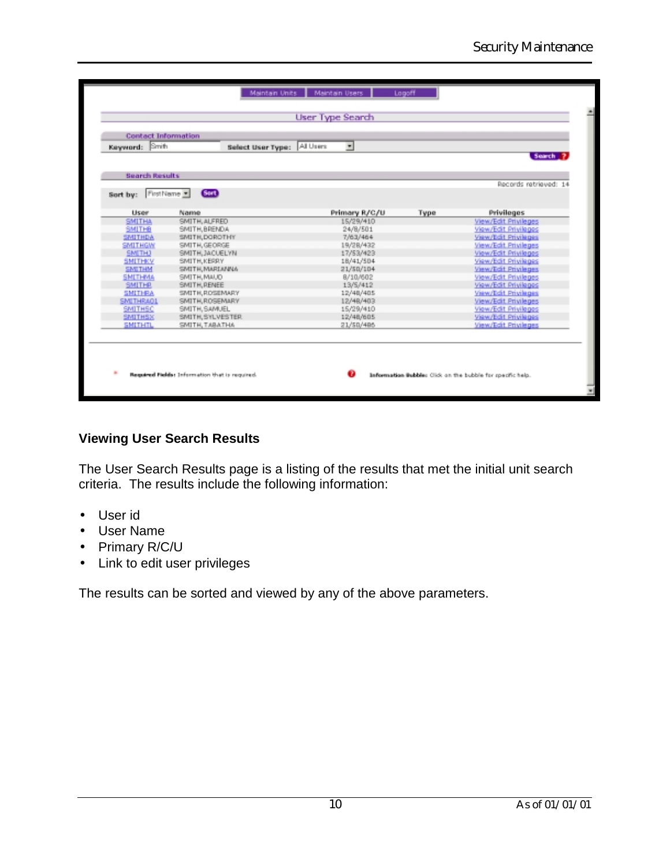| Keyword: Smith        | Select User Type:    | All Users<br>$\overline{\phantom{a}}$ |           |                                              |
|-----------------------|----------------------|---------------------------------------|-----------|----------------------------------------------|
|                       |                      |                                       |           | Search                                       |
| <b>Search Results</b> |                      |                                       |           | Records retrieved: 14                        |
| Sort by:              | Gan)<br>First Name = |                                       |           |                                              |
|                       |                      |                                       |           |                                              |
| <b>User</b>           | Name                 | Primary R/C/U                         | Type      | Privileges                                   |
| <b>SMITHA</b>         | SMITH, ALFRED        | 15/29/410                             |           | View/Edit Privileges                         |
| SMITHB                | SMITH, BRENDA        | 24/8/501                              |           | View/Edit Privileges<br>View/Edit Privileges |
| <b>SMITHDA</b>        | SMITH, DOROTHY       |                                       | 7/63/464  |                                              |
| <b>SMITHGW</b>        | SMITH, GEORGE        | 19/28/432                             |           | View/Edit Privileges<br>View/Edit Privileges |
| <b>SMETH)</b>         | SMITH, JACUELYN      |                                       | 17/53/423 |                                              |
| <b>SMITHKY</b>        | SMITH, KERRY         |                                       | 18/41/504 |                                              |
| <b>SMITHM</b>         | SMITH, MARIANNA      | 21/50/104                             |           | View/Edit Privileges                         |
| <b>SMITHMA</b>        | SMITH, MAUD          | 8/10/602                              |           | View/Edit Privileges                         |
| <b>SMITHR</b>         | SMITH, RENEE         | 13/5/412                              |           | View/Edit Privileges                         |
| <b>SMITHRA</b>        | SMITH, ROSEMARY      | 12/48/485                             |           | View/Edit Privileges                         |
| <b>SMITHRAOL</b>      | SMITH, ROSEMARY      | 12/48/403                             |           | View/Edit Privileges                         |
| SMITHSC               | SMITH, SAMUEL        | 15/29/410                             |           | View/Edit Privileges                         |
| <b>SMITHSX</b>        | SMITH, SYLVESTER     | 12/48/605                             |           | View/Edit Privileges                         |
| <b>SMITHTL</b>        | SMITH, TABATHA       | 21/50/486                             |           | View/Edit Privileges                         |

# **Viewing User Search Results**

The User Search Results page is a listing of the results that met the initial unit search criteria. The results include the following information:

- User id
- User Name
- Primary R/C/U
- Link to edit user privileges

The results can be sorted and viewed by any of the above parameters.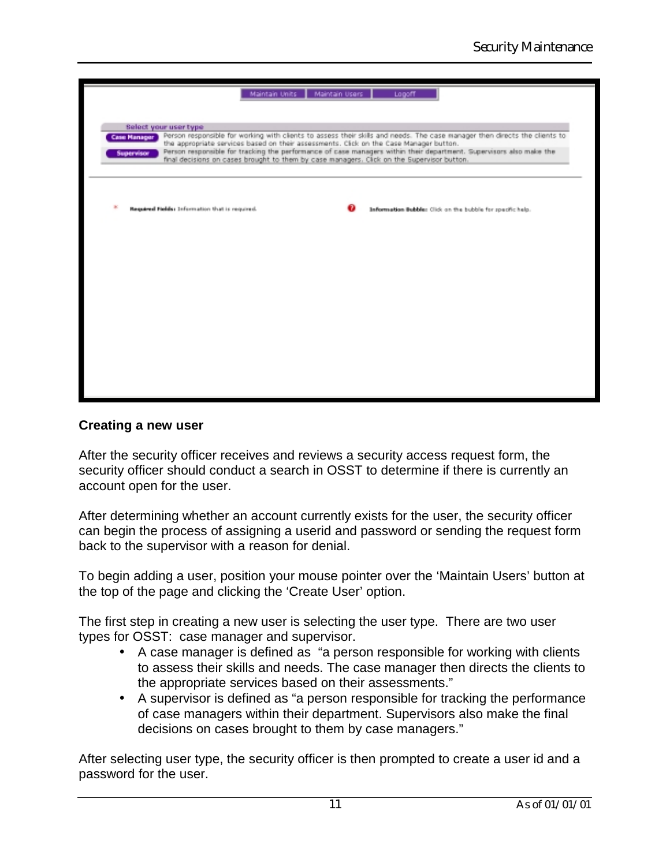| Maintain Units   Maintain Users  <br>Logoff                                                                                                                                                                                                                                                                                                                                                                                                                                                                    |
|----------------------------------------------------------------------------------------------------------------------------------------------------------------------------------------------------------------------------------------------------------------------------------------------------------------------------------------------------------------------------------------------------------------------------------------------------------------------------------------------------------------|
| Select your user type<br>Person responsible for working with clients to assess their skills and needs. The case manager then directs the clients to<br><b>Case Manager</b><br>the appropriate services based on their assessments. Click on the Case Manager button.<br>Person responsible for tracking the performance of case managers within their department. Supervisors also make the<br><b>Supervisor</b><br>final decisions on cases brought to them by case managers. Click on the Supervisor button. |
| Required Fields: Information that is required.<br>Information Bubble: Click on the bubble for specific help.                                                                                                                                                                                                                                                                                                                                                                                                   |
|                                                                                                                                                                                                                                                                                                                                                                                                                                                                                                                |
|                                                                                                                                                                                                                                                                                                                                                                                                                                                                                                                |
|                                                                                                                                                                                                                                                                                                                                                                                                                                                                                                                |

### **Creating a new user**

After the security officer receives and reviews a security access request form, the security officer should conduct a search in OSST to determine if there is currently an account open for the user.

After determining whether an account currently exists for the user, the security officer can begin the process of assigning a userid and password or sending the request form back to the supervisor with a reason for denial.

To begin adding a user, position your mouse pointer over the 'Maintain Users' button at the top of the page and clicking the 'Create User' option.

The first step in creating a new user is selecting the user type. There are two user types for OSST: case manager and supervisor.

- A case manager is defined as "a person responsible for working with clients to assess their skills and needs. The case manager then directs the clients to the appropriate services based on their assessments."
- A supervisor is defined as "a person responsible for tracking the performance of case managers within their department. Supervisors also make the final decisions on cases brought to them by case managers."

After selecting user type, the security officer is then prompted to create a user id and a password for the user.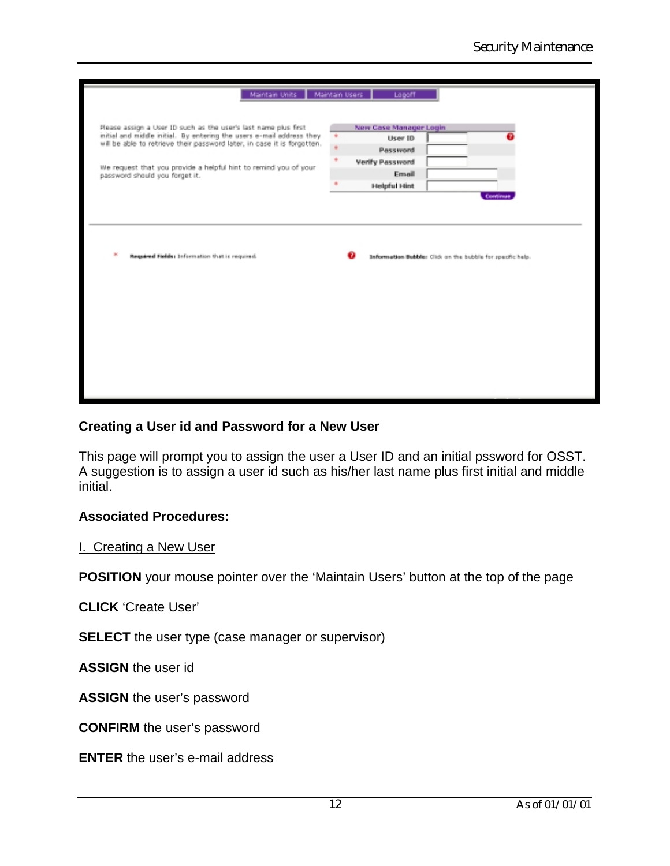| Maintain Units   Maintain Users                                                                    | Logoff                 |                                                            |  |
|----------------------------------------------------------------------------------------------------|------------------------|------------------------------------------------------------|--|
|                                                                                                    |                        |                                                            |  |
| Please assign a User ID such as the user's last name plus first                                    | New Case Manager Login |                                                            |  |
| initial and middle initial. By entering the users e-mail address they                              | User ID                |                                                            |  |
| will be able to retrieve their password later, in case it is forgotten.                            | Password               |                                                            |  |
|                                                                                                    | Verify Password        |                                                            |  |
| We request that you provide a helpful hint to remind you of your<br>password should you forget it. | Email                  |                                                            |  |
|                                                                                                    | <b>Helpful Hint</b>    |                                                            |  |
|                                                                                                    |                        | Continue                                                   |  |
|                                                                                                    |                        |                                                            |  |
|                                                                                                    |                        |                                                            |  |
|                                                                                                    |                        |                                                            |  |
|                                                                                                    |                        |                                                            |  |
|                                                                                                    |                        |                                                            |  |
| ×<br>Required Fields: Information that is required.                                                |                        | Information Bubble: Click on the bubble for specific help. |  |
|                                                                                                    |                        |                                                            |  |
|                                                                                                    |                        |                                                            |  |
|                                                                                                    |                        |                                                            |  |
|                                                                                                    |                        |                                                            |  |
|                                                                                                    |                        |                                                            |  |
|                                                                                                    |                        |                                                            |  |
|                                                                                                    |                        |                                                            |  |
|                                                                                                    |                        |                                                            |  |
|                                                                                                    |                        |                                                            |  |
|                                                                                                    |                        |                                                            |  |
|                                                                                                    |                        |                                                            |  |
|                                                                                                    |                        |                                                            |  |
|                                                                                                    |                        |                                                            |  |
|                                                                                                    |                        |                                                            |  |

## **Creating a User id and Password for a New User**

This page will prompt you to assign the user a User ID and an initial pssword for OSST. A suggestion is to assign a user id such as his/her last name plus first initial and middle initial.

## **Associated Procedures:**

I. Creating a New User

**POSITION** your mouse pointer over the 'Maintain Users' button at the top of the page

**CLICK** 'Create User'

**SELECT** the user type (case manager or supervisor)

**ASSIGN** the user id

**ASSIGN** the user's password

**CONFIRM** the user's password

**ENTER** the user's e-mail address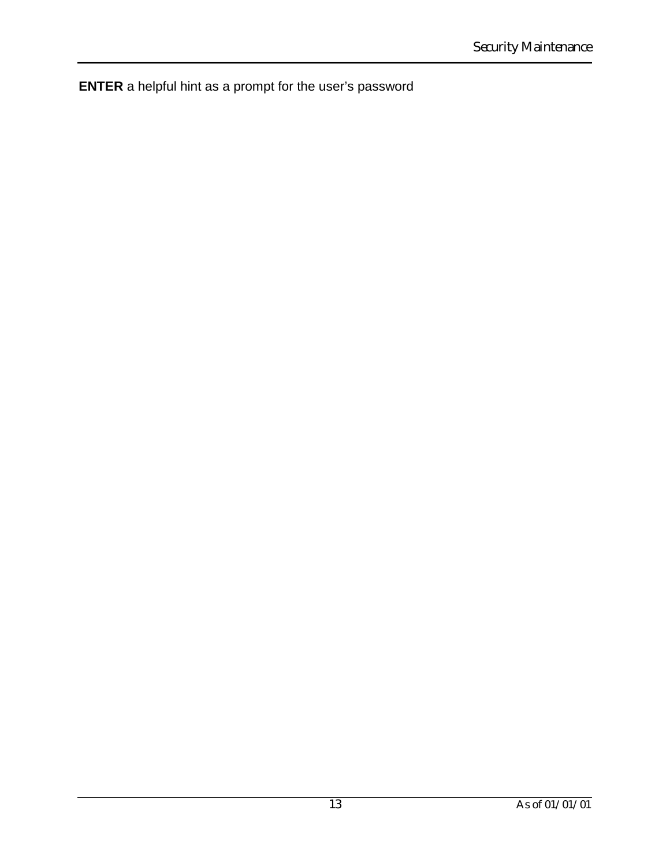**ENTER** a helpful hint as a prompt for the user's password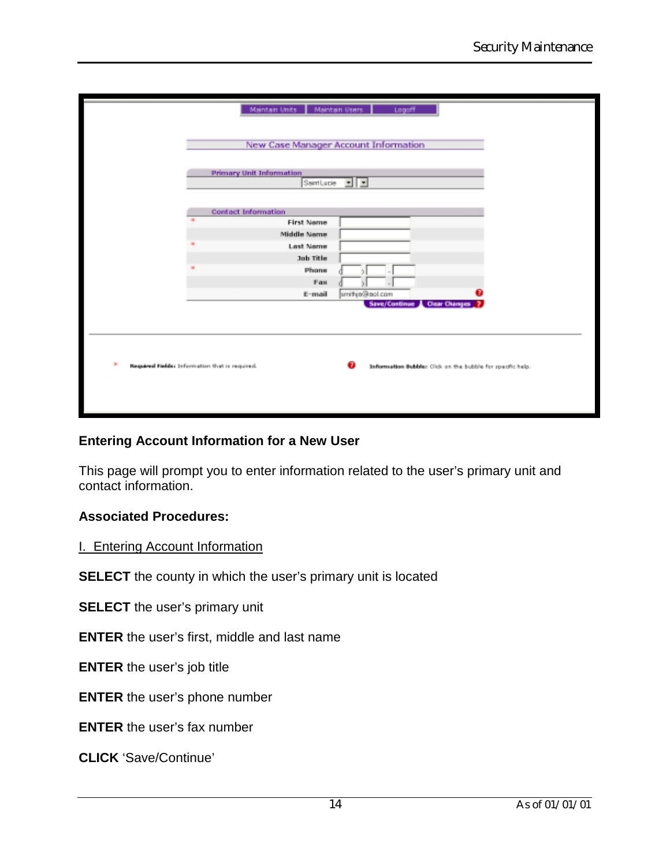| Maintain Units   Maintain Users<br>Logoff                            |                                                            |
|----------------------------------------------------------------------|------------------------------------------------------------|
| New Case Manager Account Information                                 |                                                            |
| <b>Primary Unit Information</b><br>SeintLucie $\boxed{\blacksquare}$ |                                                            |
| <b>Contact Information</b>                                           |                                                            |
| <b>First Name</b><br><b>Middle Name</b><br><b>Last Name</b>          |                                                            |
| Job Title<br>Phone                                                   |                                                            |
| Fax<br>smithje@eol.com<br>E-mail<br>Save/Continue Clear Changes ?    |                                                            |
|                                                                      |                                                            |
| Required Fields: Information that is required.                       | Information Bubble: Click on the bubble for specific help. |
|                                                                      |                                                            |

## **Entering Account Information for a New User**

This page will prompt you to enter information related to the user's primary unit and contact information.

## **Associated Procedures:**

#### I. Entering Account Information

**SELECT** the county in which the user's primary unit is located

**SELECT** the user's primary unit

**ENTER** the user's first, middle and last name

**ENTER** the user's job title

**ENTER** the user's phone number

**ENTER** the user's fax number

**CLICK** 'Save/Continue'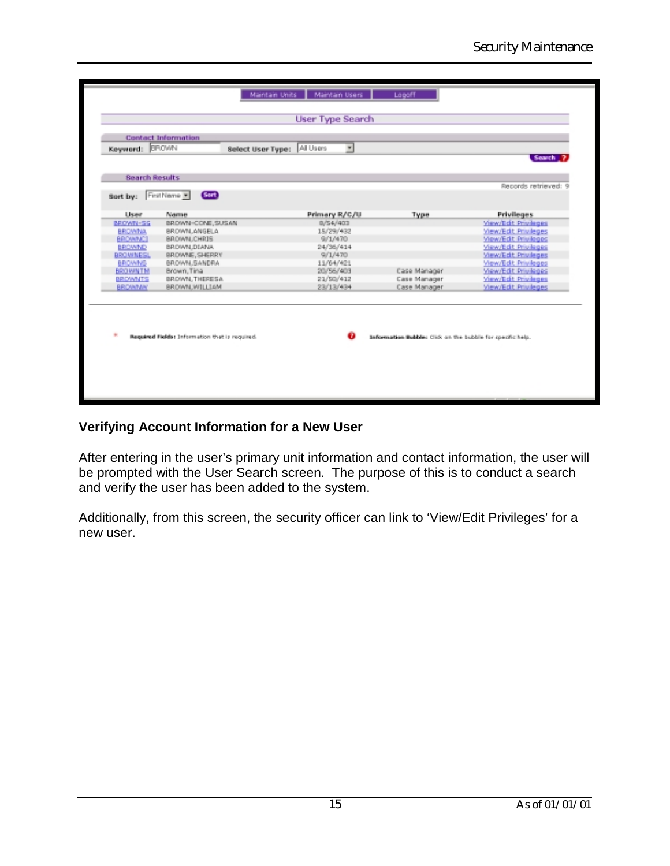| <b>Bearch Results</b>                                        |                      |
|--------------------------------------------------------------|----------------------|
|                                                              |                      |
|                                                              | Records retrieved: 9 |
| (Scrib)<br>FirstName =<br>Sort by:                           |                      |
| <b>Lisaer</b><br>Name<br>Primary R/C/U<br>Type               | <b>Privileges</b>    |
| BROWN-SG<br>BROWN-CONE, SUSAN<br>D/54/4D3                    | View/Edit Privileges |
| <b>BROWNA</b><br>BROWN, ANGELA<br>15/29/432                  | View/Edit Privileges |
| BROWNCI<br>BROWN, CHRIS<br>9/1/470                           | View/Edit Privileges |
| BROWND<br>BROWN, DIANA<br>24/36/414                          | View/Edit Privileges |
| BROWNESL<br>BROWNE, SHERRY<br>9/1/470                        | View/Edit Privileges |
| BROWN, SANDRA<br>11/64/421<br>BROWNS                         | View/Edit Privileges |
| 20/56/403<br>Case Manager<br><b>BROWNTM</b><br>Brown, Tina   | View/Edit Privileges |
| BROWNTS<br>BROWN, THERESA<br>21/50/412<br>Case Manager       | View/Edit Privileges |
| <b>BROWNW</b><br>BROWN, WILLIAM<br>23/13/434<br>Case Manager | View/Edit Privileges |
|                                                              |                      |
|                                                              |                      |
|                                                              |                      |
|                                                              |                      |
|                                                              |                      |

## **Verifying Account Information for a New User**

After entering in the user's primary unit information and contact information, the user will be prompted with the User Search screen. The purpose of this is to conduct a search and verify the user has been added to the system.

Additionally, from this screen, the security officer can link to 'View/Edit Privileges' for a new user.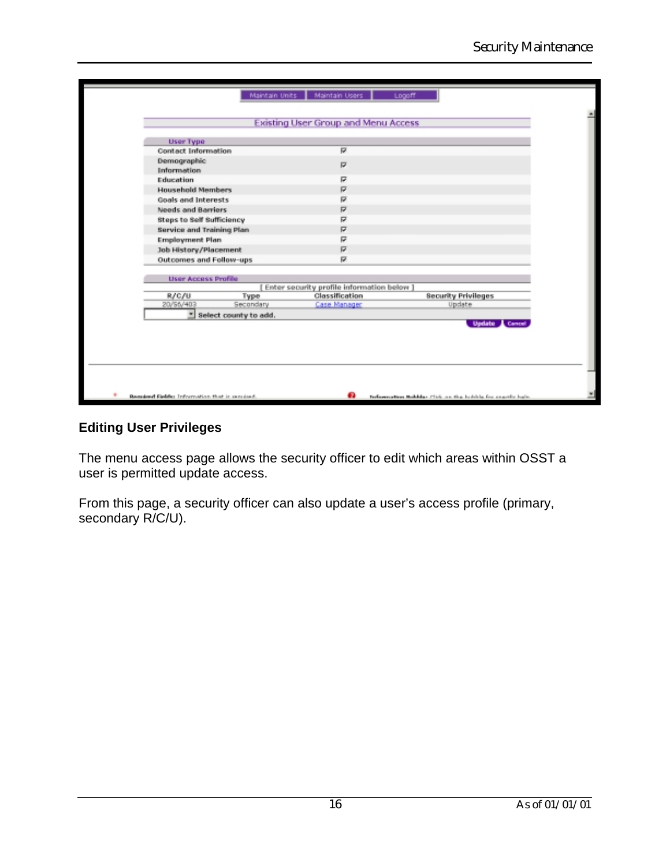| <b>User Type</b>                 |                       |                                            |                            |
|----------------------------------|-----------------------|--------------------------------------------|----------------------------|
| Contact Information              |                       | ₽                                          |                            |
| Demographic<br>Information       |                       | ₽                                          |                            |
| Education                        |                       | ╔                                          |                            |
| <b>Household Members</b>         |                       | ₽                                          |                            |
| Goals and Interests              |                       | ₽                                          |                            |
| Needs and Barriers               |                       | ₽                                          |                            |
| <b>Steps to Self Sufficiency</b> |                       | R                                          |                            |
| <b>Service and Training Plan</b> |                       | ₽                                          |                            |
| <b>Employment Plan</b>           |                       | ╔                                          |                            |
| Job History/Placement            |                       | ₽                                          |                            |
| Outcomes and Follow-ups          |                       | R                                          |                            |
| <b>User Access Profile</b>       |                       |                                            |                            |
|                                  |                       | Enter security profile information below ] |                            |
| R/C/U                            | Туре                  | Classification                             | <b>Security Privileges</b> |
| 20/S6/403                        | Secondary             | Case Manager                               | Update                     |
| ÷                                | Select county to add. |                                            | Update & Cancel            |

## **Editing User Privileges**

The menu access page allows the security officer to edit which areas within OSST a user is permitted update access.

From this page, a security officer can also update a user's access profile (primary, secondary R/C/U).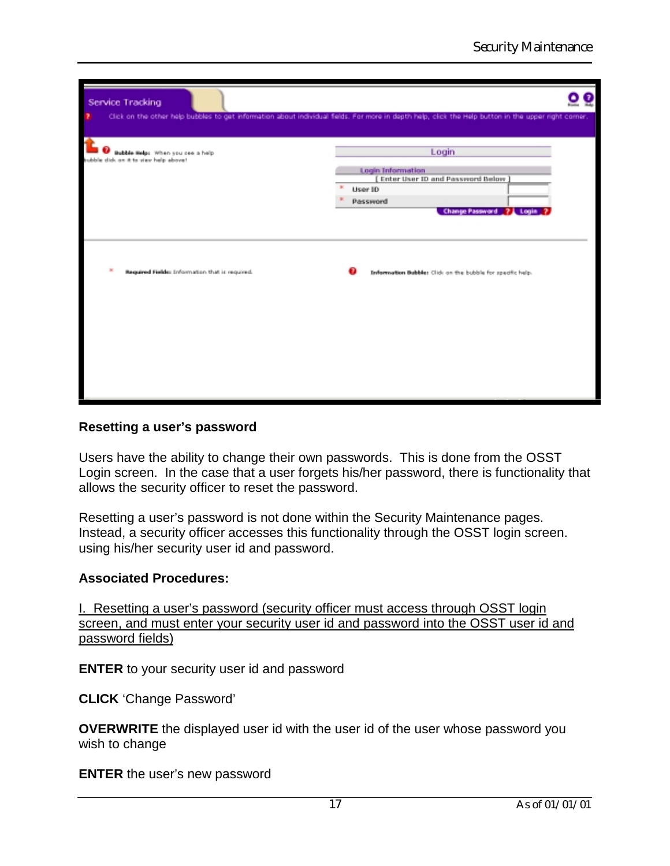| Service Tracking                                                         |                                                                                                                                                     |
|--------------------------------------------------------------------------|-----------------------------------------------------------------------------------------------------------------------------------------------------|
|                                                                          | Click on the other help bubbles to get information about individual fields. For more in depth help, click the Help button in the upper right comer. |
| <b>Bubble Help:</b> When you see a help<br>ids on it to view help above! | Login                                                                                                                                               |
|                                                                          | Login Information<br>Enter User ID and Password Below                                                                                               |
|                                                                          | User ID<br>Password                                                                                                                                 |
|                                                                          | Change Password 21 Login 2                                                                                                                          |
|                                                                          |                                                                                                                                                     |
| Required Fields: Information that is required.                           | Information Bubbles Click on the bubble for specific help.                                                                                          |
|                                                                          |                                                                                                                                                     |
|                                                                          |                                                                                                                                                     |
|                                                                          |                                                                                                                                                     |
|                                                                          |                                                                                                                                                     |
|                                                                          |                                                                                                                                                     |
|                                                                          |                                                                                                                                                     |

### **Resetting a user's password**

Users have the ability to change their own passwords. This is done from the OSST Login screen. In the case that a user forgets his/her password, there is functionality that allows the security officer to reset the password.

Resetting a user's password is not done within the Security Maintenance pages. Instead, a security officer accesses this functionality through the OSST login screen. using his/her security user id and password.

#### **Associated Procedures:**

I. Resetting a user's password (security officer must access through OSST login screen, and must enter your security user id and password into the OSST user id and password fields)

**ENTER** to your security user id and password

**CLICK** 'Change Password'

**OVERWRITE** the displayed user id with the user id of the user whose password you wish to change

**ENTER** the user's new password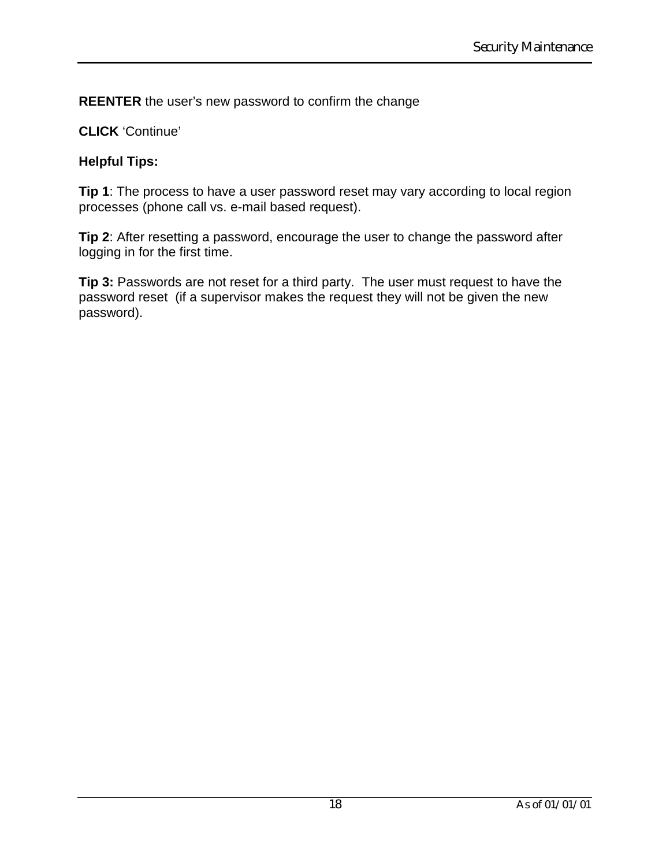**REENTER** the user's new password to confirm the change

## **CLICK** 'Continue'

### **Helpful Tips:**

**Tip 1**: The process to have a user password reset may vary according to local region processes (phone call vs. e-mail based request).

**Tip 2**: After resetting a password, encourage the user to change the password after logging in for the first time.

**Tip 3:** Passwords are not reset for a third party. The user must request to have the password reset (if a supervisor makes the request they will not be given the new password).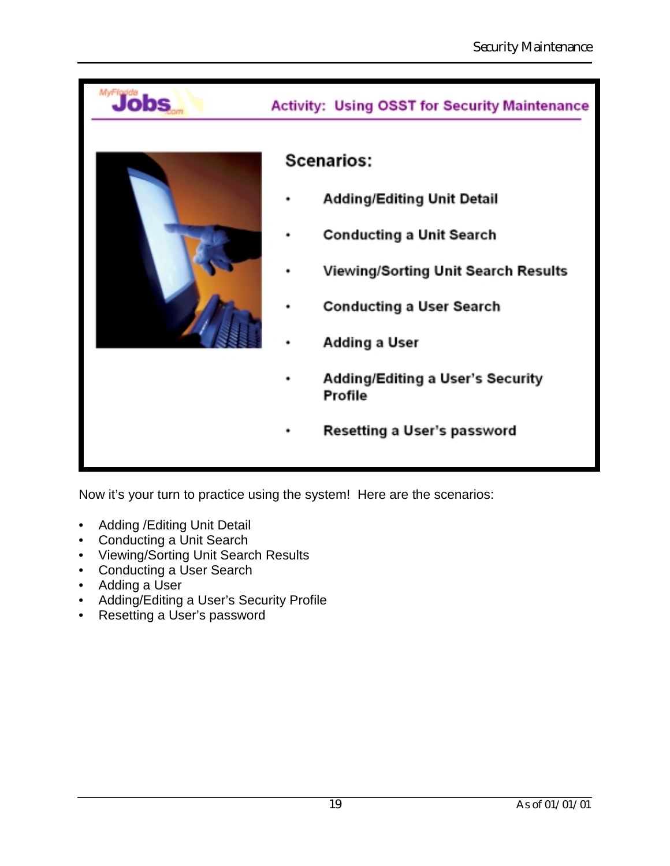

Now it's your turn to practice using the system! Here are the scenarios:

- Adding /Editing Unit Detail
- Conducting a Unit Search
- Viewing/Sorting Unit Search Results
- Conducting a User Search
- Adding a User
- Adding/Editing a User's Security Profile
- Resetting a User's password